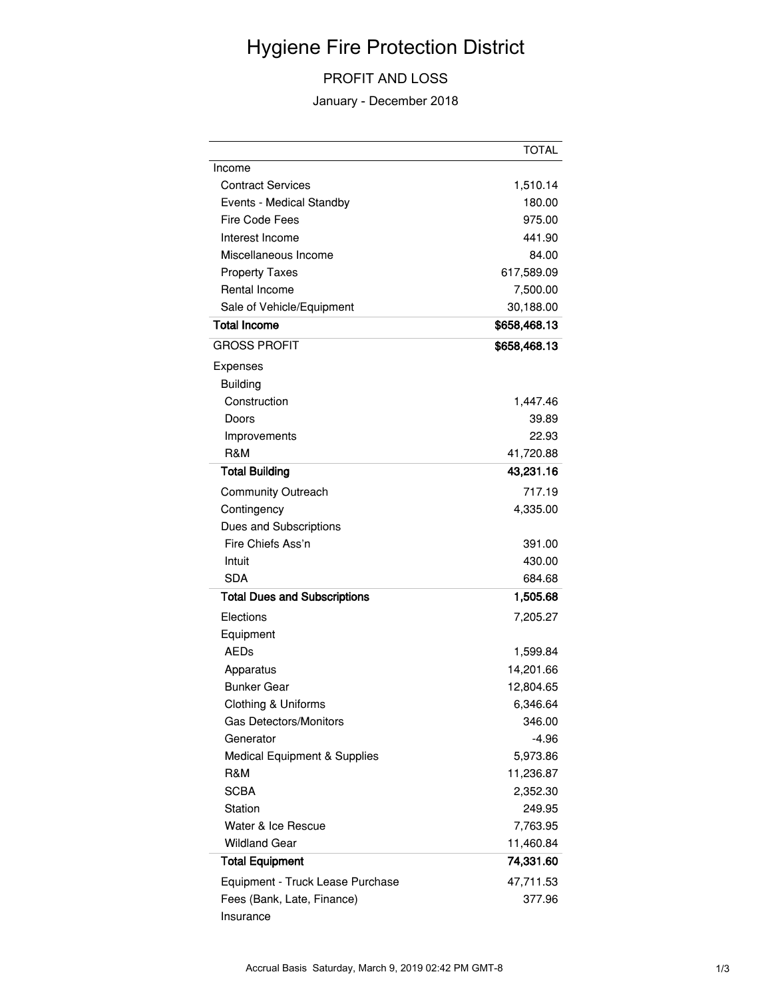## Hygiene Fire Protection District

## PROFIT AND LOSS

January - December 2018

|                                     | <b>TOTAL</b>       |
|-------------------------------------|--------------------|
| Income                              |                    |
| <b>Contract Services</b>            | 1,510.14           |
| Events - Medical Standby            | 180.00             |
| Fire Code Fees                      | 975.00             |
| Interest Income                     | 441.90             |
| Miscellaneous Income                | 84.00              |
| <b>Property Taxes</b>               | 617,589.09         |
| Rental Income                       | 7,500.00           |
| Sale of Vehicle/Equipment           | 30,188.00          |
| <b>Total Income</b>                 | \$658,468.13       |
| <b>GROSS PROFIT</b>                 | \$658,468.13       |
| Expenses                            |                    |
| <b>Building</b>                     |                    |
| Construction                        | 1,447.46           |
| Doors                               | 39.89              |
| Improvements                        | 22.93              |
| R&M                                 | 41,720.88          |
| <b>Total Building</b>               | 43,231.16          |
| <b>Community Outreach</b>           | 717.19             |
| Contingency                         | 4,335.00           |
| Dues and Subscriptions              |                    |
| Fire Chiefs Ass'n                   | 391.00             |
| Intuit                              | 430.00             |
| <b>SDA</b>                          | 684.68             |
| <b>Total Dues and Subscriptions</b> | 1,505.68           |
| Elections                           | 7,205.27           |
| Equipment                           |                    |
| <b>AEDs</b>                         | 1,599.84           |
| Apparatus                           | 14,201.66          |
| <b>Bunker Gear</b>                  | 12,804.65          |
| Clothing & Uniforms                 | 6,346.64           |
| <b>Gas Detectors/Monitors</b>       | 346.00             |
| Generator                           | $-4.96$            |
| Medical Equipment & Supplies        | 5,973.86           |
| R&M                                 | 11,236.87          |
| <b>SCBA</b>                         |                    |
| Station                             | 2,352.30<br>249.95 |
| Water & Ice Rescue                  |                    |
| <b>Wildland Gear</b>                | 7,763.95           |
|                                     | 11,460.84          |
| <b>Total Equipment</b>              | 74,331.60          |
| Equipment - Truck Lease Purchase    | 47,711.53          |
| Fees (Bank, Late, Finance)          | 377.96             |
| Insurance                           |                    |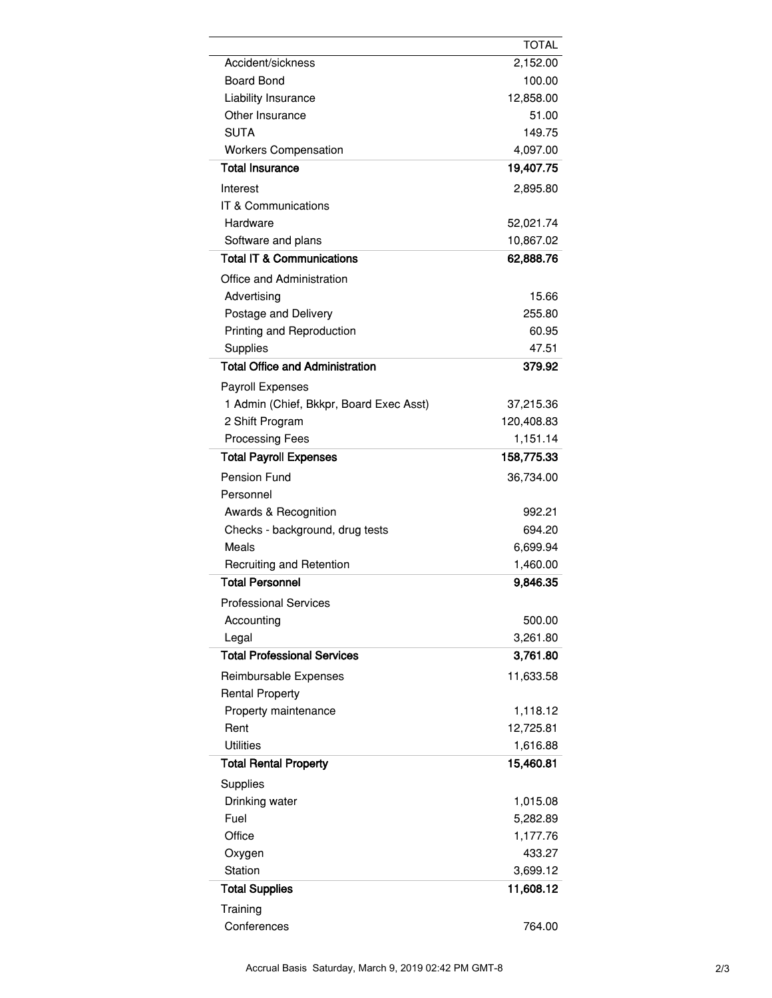|                                         | <b>TOTAL</b> |
|-----------------------------------------|--------------|
| Accident/sickness                       | 2,152.00     |
| <b>Board Bond</b>                       | 100.00       |
| Liability Insurance                     | 12,858.00    |
| Other Insurance                         | 51.00        |
| <b>SUTA</b>                             | 149.75       |
| <b>Workers Compensation</b>             | 4,097.00     |
| <b>Total Insurance</b>                  | 19,407.75    |
| Interest                                | 2,895.80     |
| IT & Communications                     |              |
| Hardware                                | 52,021.74    |
| Software and plans                      | 10,867.02    |
| <b>Total IT &amp; Communications</b>    | 62,888.76    |
| Office and Administration               |              |
| Advertising                             | 15.66        |
| Postage and Delivery                    | 255.80       |
| Printing and Reproduction               | 60.95        |
| <b>Supplies</b>                         | 47.51        |
| <b>Total Office and Administration</b>  | 379.92       |
| Payroll Expenses                        |              |
| 1 Admin (Chief, Bkkpr, Board Exec Asst) | 37,215.36    |
| 2 Shift Program                         | 120,408.83   |
| <b>Processing Fees</b>                  | 1,151.14     |
| <b>Total Payroll Expenses</b>           | 158,775.33   |
| <b>Pension Fund</b>                     | 36,734.00    |
| Personnel                               |              |
| Awards & Recognition                    | 992.21       |
| Checks - background, drug tests         | 694.20       |
| Meals                                   | 6,699.94     |
| <b>Recruiting and Retention</b>         | 1,460.00     |
| <b>Total Personnel</b>                  | 9,846.35     |
| <b>Professional Services</b>            |              |
| Accounting                              | 500.00       |
| Legal                                   | 3,261.80     |
| <b>Total Professional Services</b>      | 3,761.80     |
| Reimbursable Expenses                   | 11,633.58    |
| <b>Rental Property</b>                  |              |
| Property maintenance                    | 1,118.12     |
| Rent                                    | 12,725.81    |
| <b>Utilities</b>                        | 1,616.88     |
| <b>Total Rental Property</b>            | 15,460.81    |
| Supplies                                |              |
| Drinking water                          | 1,015.08     |
| Fuel                                    | 5,282.89     |
| Office                                  | 1,177.76     |
| Oxygen                                  | 433.27       |
| Station                                 | 3,699.12     |
| <b>Total Supplies</b>                   | 11,608.12    |
| Training                                |              |
| Conferences                             | 764.00       |
|                                         |              |